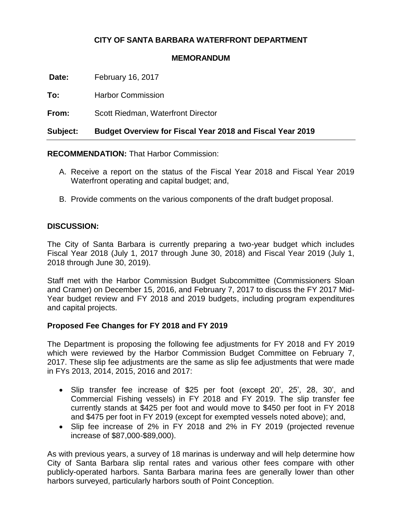## **CITY OF SANTA BARBARA WATERFRONT DEPARTMENT**

#### **MEMORANDUM**

**Date:** February 16, 2017

**To:** Harbor Commission

**From:** Scott Riedman, Waterfront Director

**Subject: Budget Overview for Fiscal Year 2018 and Fiscal Year 2019**

**RECOMMENDATION:** That Harbor Commission:

- A. Receive a report on the status of the Fiscal Year 2018 and Fiscal Year 2019 Waterfront operating and capital budget; and,
- B. Provide comments on the various components of the draft budget proposal.

## **DISCUSSION:**

The City of Santa Barbara is currently preparing a two-year budget which includes Fiscal Year 2018 (July 1, 2017 through June 30, 2018) and Fiscal Year 2019 (July 1, 2018 through June 30, 2019).

Staff met with the Harbor Commission Budget Subcommittee (Commissioners Sloan and Cramer) on December 15, 2016, and February 7, 2017 to discuss the FY 2017 Mid-Year budget review and FY 2018 and 2019 budgets, including program expenditures and capital projects.

## **Proposed Fee Changes for FY 2018 and FY 2019**

The Department is proposing the following fee adjustments for FY 2018 and FY 2019 which were reviewed by the Harbor Commission Budget Committee on February 7, 2017. These slip fee adjustments are the same as slip fee adjustments that were made in FYs 2013, 2014, 2015, 2016 and 2017:

- Slip transfer fee increase of \$25 per foot (except 20', 25', 28, 30', and Commercial Fishing vessels) in FY 2018 and FY 2019. The slip transfer fee currently stands at \$425 per foot and would move to \$450 per foot in FY 2018 and \$475 per foot in FY 2019 (except for exempted vessels noted above); and,
- Slip fee increase of 2% in FY 2018 and 2% in FY 2019 (projected revenue increase of \$87,000-\$89,000).

As with previous years, a survey of 18 marinas is underway and will help determine how City of Santa Barbara slip rental rates and various other fees compare with other publicly-operated harbors. Santa Barbara marina fees are generally lower than other harbors surveyed, particularly harbors south of Point Conception.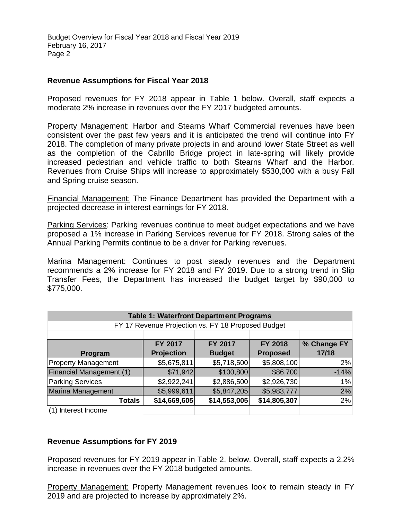#### **Revenue Assumptions for Fiscal Year 2018**

Proposed revenues for FY 2018 appear in Table 1 below. Overall, staff expects a moderate 2% increase in revenues over the FY 2017 budgeted amounts.

Property Management: Harbor and Stearns Wharf Commercial revenues have been consistent over the past few years and it is anticipated the trend will continue into FY 2018. The completion of many private projects in and around lower State Street as well as the completion of the Cabrillo Bridge project in late-spring will likely provide increased pedestrian and vehicle traffic to both Stearns Wharf and the Harbor. Revenues from Cruise Ships will increase to approximately \$530,000 with a busy Fall and Spring cruise season.

Financial Management: The Finance Department has provided the Department with a projected decrease in interest earnings for FY 2018.

Parking Services: Parking revenues continue to meet budget expectations and we have proposed a 1% increase in Parking Services revenue for FY 2018. Strong sales of the Annual Parking Permits continue to be a driver for Parking revenues.

Marina Management: Continues to post steady revenues and the Department recommends a 2% increase for FY 2018 and FY 2019. Due to a strong trend in Slip Transfer Fees, the Department has increased the budget target by \$90,000 to \$775,000.

| <b>Table 1: Waterfront Department Programs</b>                                        |                   |               |                 |             |  |
|---------------------------------------------------------------------------------------|-------------------|---------------|-----------------|-------------|--|
| FY 17 Revenue Projection vs. FY 18 Proposed Budget                                    |                   |               |                 |             |  |
|                                                                                       |                   |               |                 |             |  |
|                                                                                       | FY 2017           | FY 2017       | FY 2018         | % Change FY |  |
| Program                                                                               | <b>Projection</b> | <b>Budget</b> | <b>Proposed</b> | 17/18       |  |
| <b>Property Management</b>                                                            | \$5,675,811       | \$5,718,500   | \$5,808,100     | 2%          |  |
| Financial Management (1)                                                              | \$71,942          | \$100,800     | \$86,700        | $-14%$      |  |
| <b>Parking Services</b>                                                               | \$2,922,241       | \$2,886,500   | \$2,926,730     | 1%          |  |
| Marina Management                                                                     | \$5,999,611       | \$5,847,205   | \$5,983,777     | 2%          |  |
| <b>Totals</b>                                                                         | \$14,669,605      | \$14,553,005  | \$14,805,307    | 2%          |  |
| (1) Interest Income                                                                   |                   |               |                 |             |  |
|                                                                                       |                   |               |                 |             |  |
|                                                                                       |                   |               |                 |             |  |
| <b>Revenue Assumptions for FY 2019</b>                                                |                   |               |                 |             |  |
|                                                                                       |                   |               |                 |             |  |
| Proposed revenues for FY 2019 appear in Table 2, below. Overall, staff expects a 2.2% |                   |               |                 |             |  |
| increase in revenues over the FY 2018 budgeted amounts.                               |                   |               |                 |             |  |
|                                                                                       |                   |               |                 |             |  |
| Property Management: Property Management revenues look to remain steady in FY         |                   |               |                 |             |  |
| 2019 and are projected to increase by approximately 2%.                               |                   |               |                 |             |  |

## **Revenue Assumptions for FY 2019**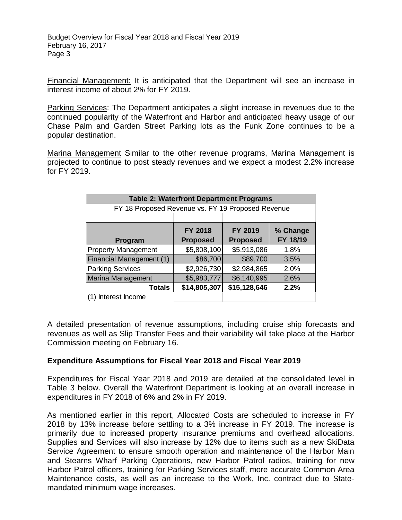Financial Management: It is anticipated that the Department will see an increase in interest income of about 2% for FY 2019.

Parking Services: The Department anticipates a slight increase in revenues due to the continued popularity of the Waterfront and Harbor and anticipated heavy usage of our Chase Palm and Garden Street Parking lots as the Funk Zone continues to be a popular destination.

Marina Management Similar to the other revenue programs, Marina Management is projected to continue to post steady revenues and we expect a modest 2.2% increase for FY 2019.

| <b>Table 2: Waterfront Department Programs</b><br>FY 18 Proposed Revenue vs. FY 19 Proposed Revenue |                            |                            |                      |  |  |
|-----------------------------------------------------------------------------------------------------|----------------------------|----------------------------|----------------------|--|--|
|                                                                                                     |                            |                            |                      |  |  |
| Program                                                                                             | FY 2018<br><b>Proposed</b> | FY 2019<br><b>Proposed</b> | % Change<br>FY 18/19 |  |  |
| <b>Property Management</b>                                                                          | \$5,808,100                | \$5,913,086                | 1.8%                 |  |  |
| Financial Management (1)                                                                            | \$86,700                   | \$89,700                   | 3.5%                 |  |  |
| <b>Parking Services</b>                                                                             | \$2,926,730                | \$2,984,865                | 2.0%                 |  |  |
| Marina Management                                                                                   | \$5,983,777                | \$6,140,995                | 2.6%                 |  |  |
| <b>Totals</b>                                                                                       | \$14,805,307               | \$15,128,646               | 2.2%                 |  |  |
| (1) Interest Income                                                                                 |                            |                            |                      |  |  |

A detailed presentation of revenue assumptions, including cruise ship forecasts and revenues as well as Slip Transfer Fees and their variability will take place at the Harbor Commission meeting on February 16.

## **Expenditure Assumptions for Fiscal Year 2018 and Fiscal Year 2019**

Expenditures for Fiscal Year 2018 and 2019 are detailed at the consolidated level in Table 3 below. Overall the Waterfront Department is looking at an overall increase in expenditures in FY 2018 of 6% and 2% in FY 2019.

As mentioned earlier in this report, Allocated Costs are scheduled to increase in FY 2018 by 13% increase before settling to a 3% increase in FY 2019. The increase is primarily due to increased property insurance premiums and overhead allocations. Supplies and Services will also increase by 12% due to items such as a new SkiData Service Agreement to ensure smooth operation and maintenance of the Harbor Main and Stearns Wharf Parking Operations, new Harbor Patrol radios, training for new Harbor Patrol officers, training for Parking Services staff, more accurate Common Area Maintenance costs, as well as an increase to the Work, Inc. contract due to Statemandated minimum wage increases.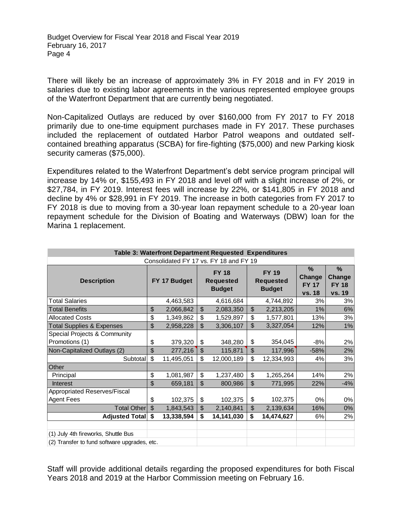Budget Overview for Fiscal Year 2018 and Fiscal Year 2019 February 16, 2017 Page 4

There will likely be an increase of approximately 3% in FY 2018 and in FY 2019 in salaries due to existing labor agreements in the various represented employee groups of the Waterfront Department that are currently being negotiated.

Non-Capitalized Outlays are reduced by over \$160,000 from FY 2017 to FY 2018 primarily due to one-time equipment purchases made in FY 2017. These purchases included the replacement of outdated Harbor Patrol weapons and outdated selfcontained breathing apparatus (SCBA) for fire-fighting (\$75,000) and new Parking kiosk security cameras (\$75,000).

Expenditures related to the Waterfront Department's debt service program principal will increase by 14% or, \$155,493 in FY 2018 and level off with a slight increase of 2%, or \$27,784, in FY 2019. Interest fees will increase by 22%, or \$141,805 in FY 2018 and decline by 4% or \$28,991 in FY 2019. The increase in both categories from FY 2017 to FY 2018 is due to moving from a 30-year loan repayment schedule to a 20-year loan repayment schedule for the Division of Boating and Waterways (DBW) loan for the Marina 1 replacement.

| Table 3: Waterfront Department Requested Expenditures |                |              |                           |                                                   |                                                   |                                                        |                                                   |
|-------------------------------------------------------|----------------|--------------|---------------------------|---------------------------------------------------|---------------------------------------------------|--------------------------------------------------------|---------------------------------------------------|
|                                                       |                |              |                           | Consolidated FY 17 vs. FY 18 and FY 19            |                                                   |                                                        |                                                   |
| <b>Description</b>                                    |                | FY 17 Budget |                           | <b>FY 18</b><br><b>Requested</b><br><b>Budget</b> | <b>FY 19</b><br><b>Requested</b><br><b>Budget</b> | $\%$<br><b>Change</b><br><b>FY 17</b><br><b>vs. 18</b> | $\frac{0}{0}$<br>Change<br><b>FY 18</b><br>vs. 19 |
| <b>Total Salaries</b>                                 |                | 4,463,583    |                           | 4,616,684                                         | 4,744,892                                         | 3%                                                     | 3%                                                |
| <b>Total Benefits</b>                                 | \$             | 2,066,842    | $\mathfrak{S}$            | 2,083,350                                         | \$<br>2,213,205                                   | 1%                                                     | 6%                                                |
| <b>Allocated Costs</b>                                | \$             | 1,349,862    | \$                        | 1,529,897                                         | \$<br>1,577,801                                   | 13%                                                    | 3%                                                |
| <b>Total Supplies &amp; Expenses</b>                  | $\mathfrak{S}$ | 2,958,228    | $\boldsymbol{\mathsf{S}}$ | 3,306,107                                         | \$<br>3,327,054                                   | 12%                                                    | 1%                                                |
| Special Projects & Community                          |                |              |                           |                                                   |                                                   |                                                        |                                                   |
| Promotions (1)                                        | \$             | 379,320      | \$                        | 348,280                                           | \$<br>354,045                                     | $-8%$                                                  | 2%                                                |
| Non-Capitalized Outlays (2)                           | \$             | 277,216      | \$                        | 115,871                                           | \$<br>117,996                                     | $-58%$                                                 | 2%                                                |
| Subtotal                                              | \$             | 11,495,051   | \$                        | 12,000,189                                        | \$<br>12,334,993                                  | 4%                                                     | 3%                                                |
| Other                                                 |                |              |                           |                                                   |                                                   |                                                        |                                                   |
| Principal                                             | \$             | 1,081,987    | \$                        | 1,237,480                                         | \$<br>1,265,264                                   | 14%                                                    | 2%                                                |
| <b>Interest</b>                                       | \$             | 659,181      | $\boldsymbol{\mathsf{S}}$ | 800,986                                           | \$<br>771,995                                     | 22%                                                    | $-4%$                                             |
| Appropriated Reserves/Fiscal                          |                |              |                           |                                                   |                                                   |                                                        |                                                   |
| <b>Agent Fees</b>                                     | \$             | 102,375      | \$                        | 102,375                                           | \$<br>102,375                                     | 0%                                                     | 0%                                                |
| <b>Total Other</b>                                    | $\mathfrak{S}$ | 1,843,543    | $\mathfrak{S}$            | 2,140,841                                         | \$<br>2,139,634                                   | 16%                                                    | 0%                                                |
| Adjusted Total                                        | \$             | 13,338,594   | \$                        | 14,141,030                                        | \$<br>14,474,627                                  | 6%                                                     | 2%                                                |
|                                                       |                |              |                           |                                                   |                                                   |                                                        |                                                   |
| (1) July 4th fireworks, Shuttle Bus                   |                |              |                           |                                                   |                                                   |                                                        |                                                   |
| (2) Transfer to fund software upgrades, etc.          |                |              |                           |                                                   |                                                   |                                                        |                                                   |

Staff will provide additional details regarding the proposed expenditures for both Fiscal Years 2018 and 2019 at the Harbor Commission meeting on February 16.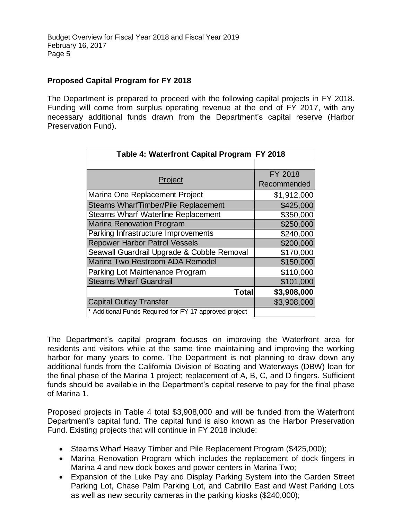## **Proposed Capital Program for FY 2018**

The Department is prepared to proceed with the following capital projects in FY 2018. Funding will come from surplus operating revenue at the end of FY 2017, with any necessary additional funds drawn from the Department's capital reserve (Harbor Preservation Fund).

| Table 4: Waterfront Capital Program FY 2018            |             |
|--------------------------------------------------------|-------------|
|                                                        |             |
|                                                        | FY 2018     |
| Project                                                | Recommended |
| Marina One Replacement Project                         | \$1,912,000 |
| <b>Stearns WharfTimber/Pile Replacement</b>            | \$425,000   |
| <b>Stearns Wharf Waterline Replacement</b>             | \$350,000   |
| <b>Marina Renovation Program</b>                       | \$250,000   |
| Parking Infrastructure Improvements                    | \$240,000   |
| <b>Repower Harbor Patrol Vessels</b>                   | \$200,000   |
| Seawall Guardrail Upgrade & Cobble Removal             | \$170,000   |
| Marina Two Restroom ADA Remodel                        | \$150,000   |
| Parking Lot Maintenance Program                        | \$110,000   |
| <b>Stearns Wharf Guardrail</b>                         | \$101,000   |
| <b>Total</b>                                           | \$3,908,000 |
| <b>Capital Outlay Transfer</b>                         | \$3,908,000 |
| * Additional Funds Pequired for EV 17 approved project |             |

\* Additional Funds Required for FY 17 approved project

The Department's capital program focuses on improving the Waterfront area for residents and visitors while at the same time maintaining and improving the working harbor for many years to come. The Department is not planning to draw down any additional funds from the California Division of Boating and Waterways (DBW) loan for the final phase of the Marina 1 project; replacement of A, B, C, and D fingers. Sufficient funds should be available in the Department's capital reserve to pay for the final phase of Marina 1.

Proposed projects in Table 4 total \$3,908,000 and will be funded from the Waterfront Department's capital fund. The capital fund is also known as the Harbor Preservation Fund. Existing projects that will continue in FY 2018 include:

- Stearns Wharf Heavy Timber and Pile Replacement Program (\$425,000);
- Marina Renovation Program which includes the replacement of dock fingers in Marina 4 and new dock boxes and power centers in Marina Two;
- Expansion of the Luke Pay and Display Parking System into the Garden Street Parking Lot, Chase Palm Parking Lot, and Cabrillo East and West Parking Lots as well as new security cameras in the parking kiosks (\$240,000);